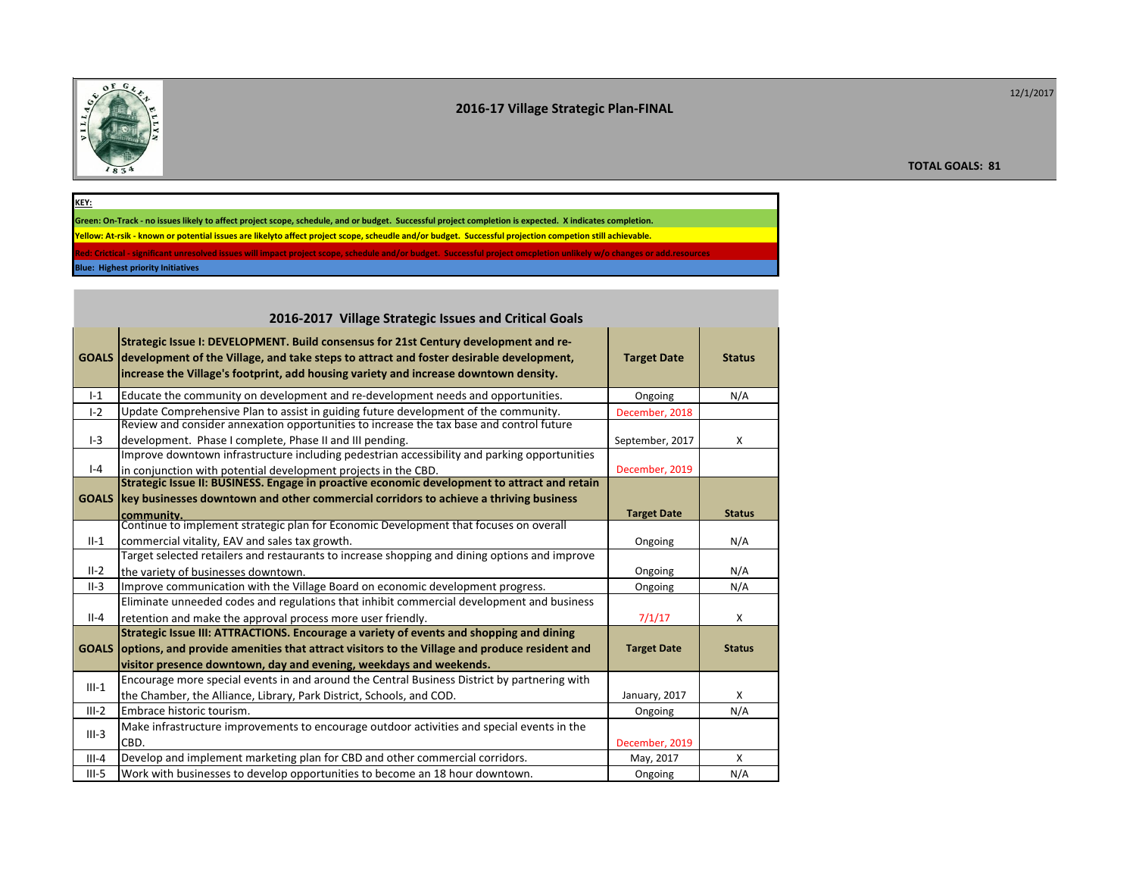

## **2016-17 Village Strategic Plan-FINAL**

**TOTAL GOALS: 81**

| KEY:                                                                                                                                                                  |
|-----------------------------------------------------------------------------------------------------------------------------------------------------------------------|
| Green: On-Track - no issues likely to affect project scope, schedule, and or budget. Successful project completion is expected. X indicates completion.               |
| Yellow: At-rsik - known or potential issues are likelyto affect project scope, scheudle and/or budget. Successful projection competion still achievable.              |
| Red: Crictical - significant unresolved issues will impact project scope, schedule and/or budget. Successful project omcpletion unlikely w/o changes or add.resources |
| <b>Blue: Highest priority Initiatives</b>                                                                                                                             |

|              | 2016-2017 Village Strategic Issues and Critical Goals                                                                                                                                                                                                                   |                    |               |  |  |  |  |
|--------------|-------------------------------------------------------------------------------------------------------------------------------------------------------------------------------------------------------------------------------------------------------------------------|--------------------|---------------|--|--|--|--|
| <b>GOALS</b> | Strategic Issue I: DEVELOPMENT. Build consensus for 21st Century development and re-<br>development of the Village, and take steps to attract and foster desirable development,<br>increase the Village's footprint, add housing variety and increase downtown density. | <b>Target Date</b> | <b>Status</b> |  |  |  |  |
| $I-1$        | Educate the community on development and re-development needs and opportunities.                                                                                                                                                                                        | Ongoing            | N/A           |  |  |  |  |
| $I - 2$      | Update Comprehensive Plan to assist in guiding future development of the community.                                                                                                                                                                                     | December, 2018     |               |  |  |  |  |
|              | Review and consider annexation opportunities to increase the tax base and control future                                                                                                                                                                                |                    |               |  |  |  |  |
| $I-3$        | development. Phase I complete, Phase II and III pending.                                                                                                                                                                                                                | September, 2017    | X             |  |  |  |  |
|              | Improve downtown infrastructure including pedestrian accessibility and parking opportunities                                                                                                                                                                            |                    |               |  |  |  |  |
| $I - 4$      | in conjunction with potential development projects in the CBD.                                                                                                                                                                                                          | December, 2019     |               |  |  |  |  |
|              | Strategic Issue II: BUSINESS. Engage in proactive economic development to attract and retain                                                                                                                                                                            |                    |               |  |  |  |  |
| <b>GOALS</b> | key businesses downtown and other commercial corridors to achieve a thriving business                                                                                                                                                                                   | <b>Target Date</b> | <b>Status</b> |  |  |  |  |
|              | community.<br>Continue to implement strategic plan for Economic Development that focuses on overall                                                                                                                                                                     |                    |               |  |  |  |  |
| $II-1$       | commercial vitality, EAV and sales tax growth.                                                                                                                                                                                                                          | Ongoing            | N/A           |  |  |  |  |
|              | Target selected retailers and restaurants to increase shopping and dining options and improve                                                                                                                                                                           |                    |               |  |  |  |  |
| $II-2$       | the variety of businesses downtown.                                                                                                                                                                                                                                     | Ongoing            | N/A           |  |  |  |  |
| $II-3$       | Improve communication with the Village Board on economic development progress.                                                                                                                                                                                          | Ongoing            | N/A           |  |  |  |  |
|              | Eliminate unneeded codes and regulations that inhibit commercial development and business                                                                                                                                                                               |                    |               |  |  |  |  |
| $II-4$       | retention and make the approval process more user friendly.                                                                                                                                                                                                             | 7/1/17             | X             |  |  |  |  |
|              | Strategic Issue III: ATTRACTIONS. Encourage a variety of events and shopping and dining                                                                                                                                                                                 |                    |               |  |  |  |  |
| <b>GOALS</b> | options, and provide amenities that attract visitors to the Village and produce resident and                                                                                                                                                                            | <b>Target Date</b> | <b>Status</b> |  |  |  |  |
|              | visitor presence downtown, day and evening, weekdays and weekends.                                                                                                                                                                                                      |                    |               |  |  |  |  |
| $III-1$      | Encourage more special events in and around the Central Business District by partnering with                                                                                                                                                                            |                    |               |  |  |  |  |
|              | the Chamber, the Alliance, Library, Park District, Schools, and COD.                                                                                                                                                                                                    | January, 2017      | X             |  |  |  |  |
| $III-2$      | Embrace historic tourism.                                                                                                                                                                                                                                               | Ongoing            | N/A           |  |  |  |  |
| $III-3$      | Make infrastructure improvements to encourage outdoor activities and special events in the                                                                                                                                                                              |                    |               |  |  |  |  |
|              | CBD.                                                                                                                                                                                                                                                                    | December, 2019     |               |  |  |  |  |
| $III - 4$    | Develop and implement marketing plan for CBD and other commercial corridors.                                                                                                                                                                                            | May, 2017          | $\mathsf{X}$  |  |  |  |  |
| $III-5$      | Work with businesses to develop opportunities to become an 18 hour downtown.                                                                                                                                                                                            | Ongoing            | N/A           |  |  |  |  |
|              |                                                                                                                                                                                                                                                                         |                    |               |  |  |  |  |

12/1/2017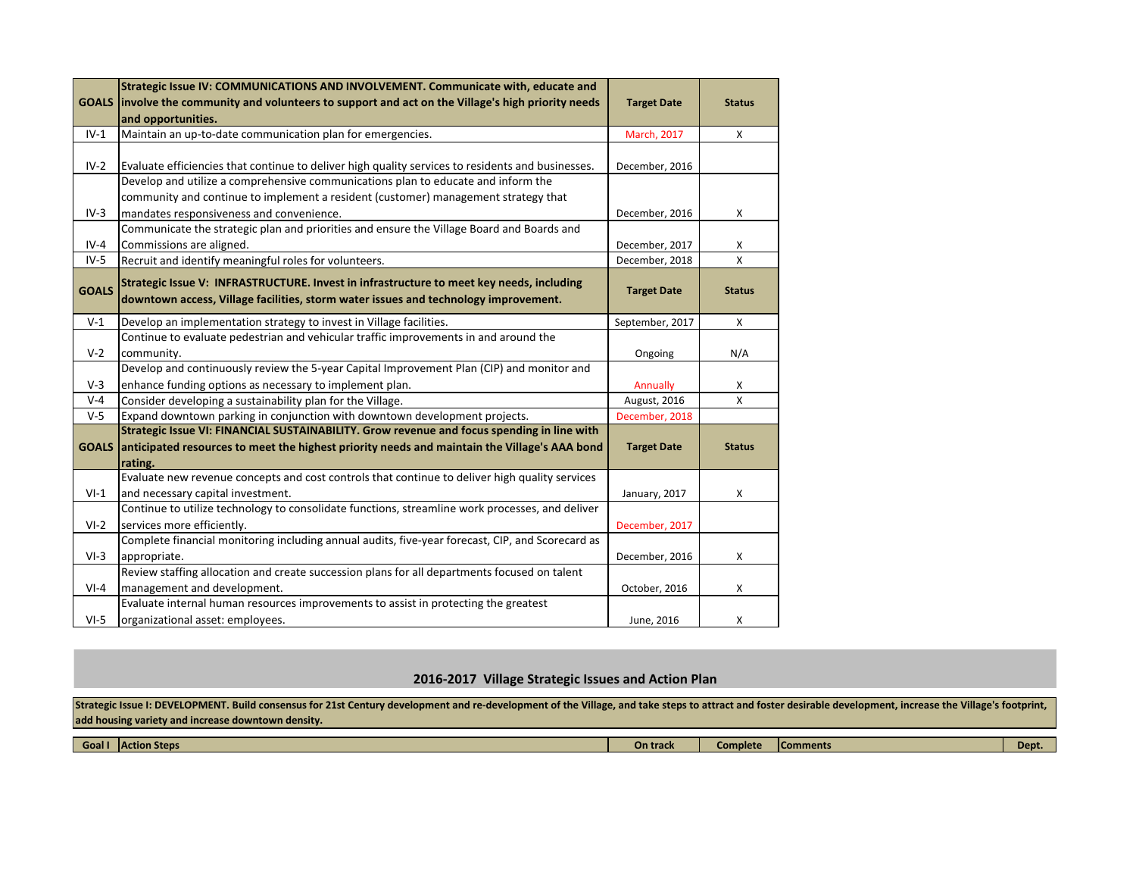|              | Strategic Issue IV: COMMUNICATIONS AND INVOLVEMENT. Communicate with, educate and                  |                    |               |
|--------------|----------------------------------------------------------------------------------------------------|--------------------|---------------|
|              | GOALS involve the community and volunteers to support and act on the Village's high priority needs | <b>Target Date</b> | <b>Status</b> |
|              | and opportunities.                                                                                 |                    |               |
| $IV-1$       | Maintain an up-to-date communication plan for emergencies.                                         | March, 2017        | X             |
|              |                                                                                                    |                    |               |
| $IV-2$       | Evaluate efficiencies that continue to deliver high quality services to residents and businesses.  | December, 2016     |               |
|              | Develop and utilize a comprehensive communications plan to educate and inform the                  |                    |               |
|              | community and continue to implement a resident (customer) management strategy that                 |                    |               |
| $IV-3$       | mandates responsiveness and convenience.                                                           | December, 2016     | X             |
|              | Communicate the strategic plan and priorities and ensure the Village Board and Boards and          |                    |               |
| $IV-4$       | Commissions are aligned.                                                                           | December, 2017     | x             |
| $IV-5$       | Recruit and identify meaningful roles for volunteers.                                              | December, 2018     | X             |
|              | Strategic Issue V: INFRASTRUCTURE. Invest in infrastructure to meet key needs, including           |                    |               |
| <b>GOALS</b> | downtown access, Village facilities, storm water issues and technology improvement.                | <b>Target Date</b> | <b>Status</b> |
|              |                                                                                                    |                    |               |
| $V-1$        | Develop an implementation strategy to invest in Village facilities.                                | September, 2017    | Χ             |
|              | Continue to evaluate pedestrian and vehicular traffic improvements in and around the               |                    |               |
| $V-2$        | community.                                                                                         | Ongoing            | N/A           |
|              | Develop and continuously review the 5-year Capital Improvement Plan (CIP) and monitor and          |                    |               |
| $V-3$        | enhance funding options as necessary to implement plan.                                            | Annually           | X             |
| $V - 4$      | Consider developing a sustainability plan for the Village.                                         | August, 2016       | X             |
| $V-5$        | Expand downtown parking in conjunction with downtown development projects.                         | December, 2018     |               |
|              | Strategic Issue VI: FINANCIAL SUSTAINABILITY. Grow revenue and focus spending in line with         |                    |               |
| <b>GOALS</b> | anticipated resources to meet the highest priority needs and maintain the Village's AAA bond       | <b>Target Date</b> | <b>Status</b> |
|              | rating.                                                                                            |                    |               |
|              | Evaluate new revenue concepts and cost controls that continue to deliver high quality services     |                    |               |
| $VI-1$       | and necessary capital investment.                                                                  | January, 2017      | Χ             |
|              | Continue to utilize technology to consolidate functions, streamline work processes, and deliver    |                    |               |
| $VI-2$       | services more efficiently.                                                                         | December, 2017     |               |
|              | Complete financial monitoring including annual audits, five-year forecast, CIP, and Scorecard as   |                    |               |
| $VI-3$       | appropriate.                                                                                       | December, 2016     | Χ             |
|              | Review staffing allocation and create succession plans for all departments focused on talent       |                    |               |
| $VI-4$       | management and development.                                                                        | October, 2016      | X             |
|              | Evaluate internal human resources improvements to assist in protecting the greatest                |                    |               |
| $VI-5$       | organizational asset: employees.                                                                   | June, 2016         | X             |

## **2016-2017 Village Strategic Issues and Action Plan**

Strategic Issue I: DEVELOPMENT. Build consensus for 21st Century development and re-development of the Village, and take steps to attract and foster desirable development, increase the Village's footprint, **add housing variety and increase downtown density.** 

| Goal | <b>IAction Steps</b> | <b>On track</b> | Complete | <b>IComments</b> | Dept. |
|------|----------------------|-----------------|----------|------------------|-------|
|      |                      |                 |          |                  |       |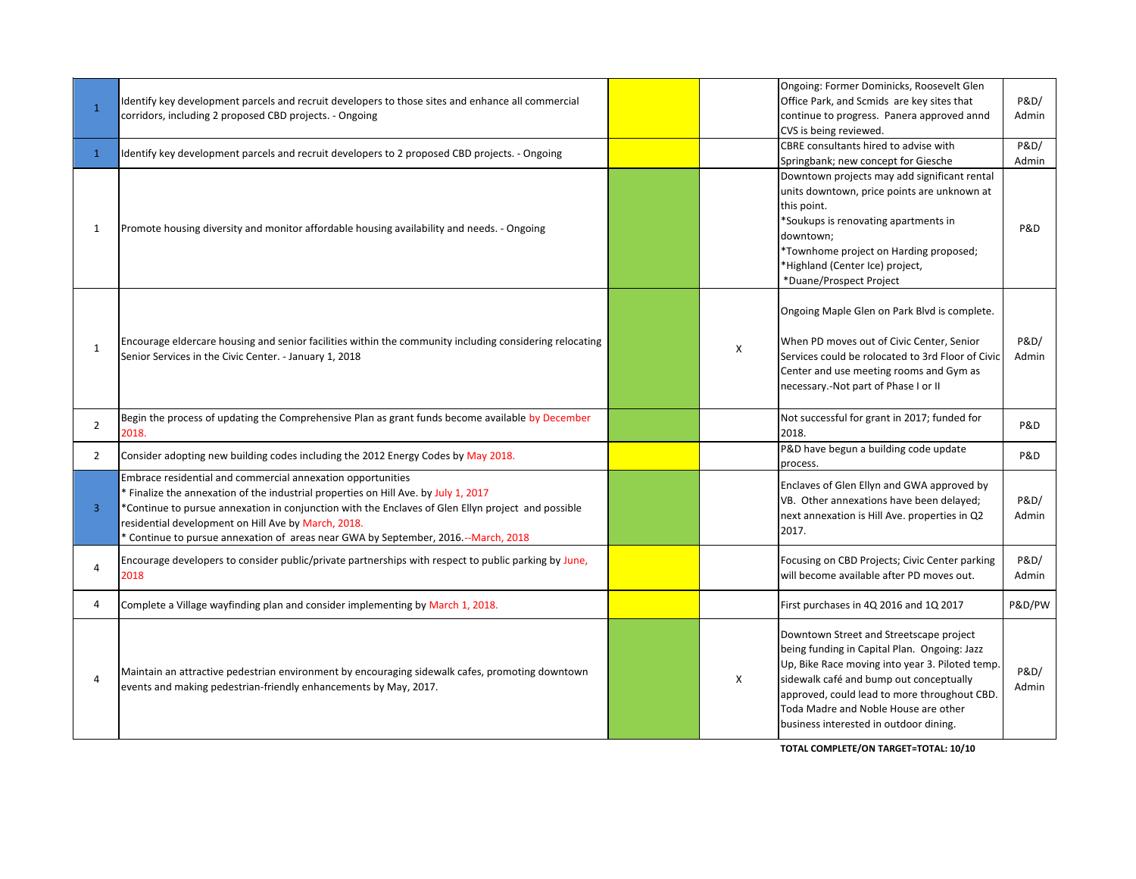| $\mathbf{1}$   | Identify key development parcels and recruit developers to those sites and enhance all commercial<br>corridors, including 2 proposed CBD projects. - Ongoing                                                                                                                                                                                                                                          |   | Ongoing: Former Dominicks, Roosevelt Glen<br>Office Park, and Scmids are key sites that<br>continue to progress. Panera approved annd<br>CVS is being reviewed.                                                                                                                                                         | P&D/<br>Admin |
|----------------|-------------------------------------------------------------------------------------------------------------------------------------------------------------------------------------------------------------------------------------------------------------------------------------------------------------------------------------------------------------------------------------------------------|---|-------------------------------------------------------------------------------------------------------------------------------------------------------------------------------------------------------------------------------------------------------------------------------------------------------------------------|---------------|
| $\mathbf{1}$   | Identify key development parcels and recruit developers to 2 proposed CBD projects. - Ongoing                                                                                                                                                                                                                                                                                                         |   | CBRE consultants hired to advise with<br>Springbank; new concept for Giesche                                                                                                                                                                                                                                            | P&D/<br>Admin |
| 1              | Promote housing diversity and monitor affordable housing availability and needs. - Ongoing                                                                                                                                                                                                                                                                                                            |   | Downtown projects may add significant rental<br>units downtown, price points are unknown at<br>this point.<br>*Soukups is renovating apartments in<br>downtown;<br>*Townhome project on Harding proposed;<br>*Highland (Center Ice) project,<br>*Duane/Prospect Project                                                 | P&D           |
| 1              | Encourage eldercare housing and senior facilities within the community including considering relocating<br>Senior Services in the Civic Center. - January 1, 2018                                                                                                                                                                                                                                     | Χ | Ongoing Maple Glen on Park Blvd is complete.<br>When PD moves out of Civic Center, Senior<br>Services could be rolocated to 3rd Floor of Civic<br>Center and use meeting rooms and Gym as<br>necessary.-Not part of Phase I or II                                                                                       | P&D/<br>Admin |
| $\overline{2}$ | Begin the process of updating the Comprehensive Plan as grant funds become available by December<br>2018.                                                                                                                                                                                                                                                                                             |   | Not successful for grant in 2017; funded for<br>2018.                                                                                                                                                                                                                                                                   | P&D           |
| $\overline{2}$ | Consider adopting new building codes including the 2012 Energy Codes by May 2018.                                                                                                                                                                                                                                                                                                                     |   | P&D have begun a building code update<br>process.                                                                                                                                                                                                                                                                       | P&D           |
| 3              | Embrace residential and commercial annexation opportunities<br>* Finalize the annexation of the industrial properties on Hill Ave. by July 1, 2017<br>*Continue to pursue annexation in conjunction with the Enclaves of Glen Ellyn project and possible<br>residential development on Hill Ave by March, 2018.<br>* Continue to pursue annexation of areas near GWA by September, 2016.--March, 2018 |   | Enclaves of Glen Ellyn and GWA approved by<br>VB. Other annexations have been delayed;<br>next annexation is Hill Ave. properties in Q2<br>2017.                                                                                                                                                                        | P&D/<br>Admin |
| 4              | Encourage developers to consider public/private partnerships with respect to public parking by June,<br>2018                                                                                                                                                                                                                                                                                          |   | Focusing on CBD Projects; Civic Center parking<br>will become available after PD moves out.                                                                                                                                                                                                                             | P&D/<br>Admin |
| 4              | Complete a Village wayfinding plan and consider implementing by March 1, 2018.                                                                                                                                                                                                                                                                                                                        |   | First purchases in 4Q 2016 and 1Q 2017                                                                                                                                                                                                                                                                                  | P&D/PW        |
| 4              | Maintain an attractive pedestrian environment by encouraging sidewalk cafes, promoting downtown<br>events and making pedestrian-friendly enhancements by May, 2017.                                                                                                                                                                                                                                   | X | Downtown Street and Streetscape project<br>being funding in Capital Plan. Ongoing: Jazz<br>Up, Bike Race moving into year 3. Piloted temp.<br>sidewalk café and bump out conceptually<br>approved, could lead to more throughout CBD.<br>Toda Madre and Noble House are other<br>business interested in outdoor dining. | P&D/<br>Admin |

**TOTAL COMPLETE/ON TARGET=TOTAL: 10/10**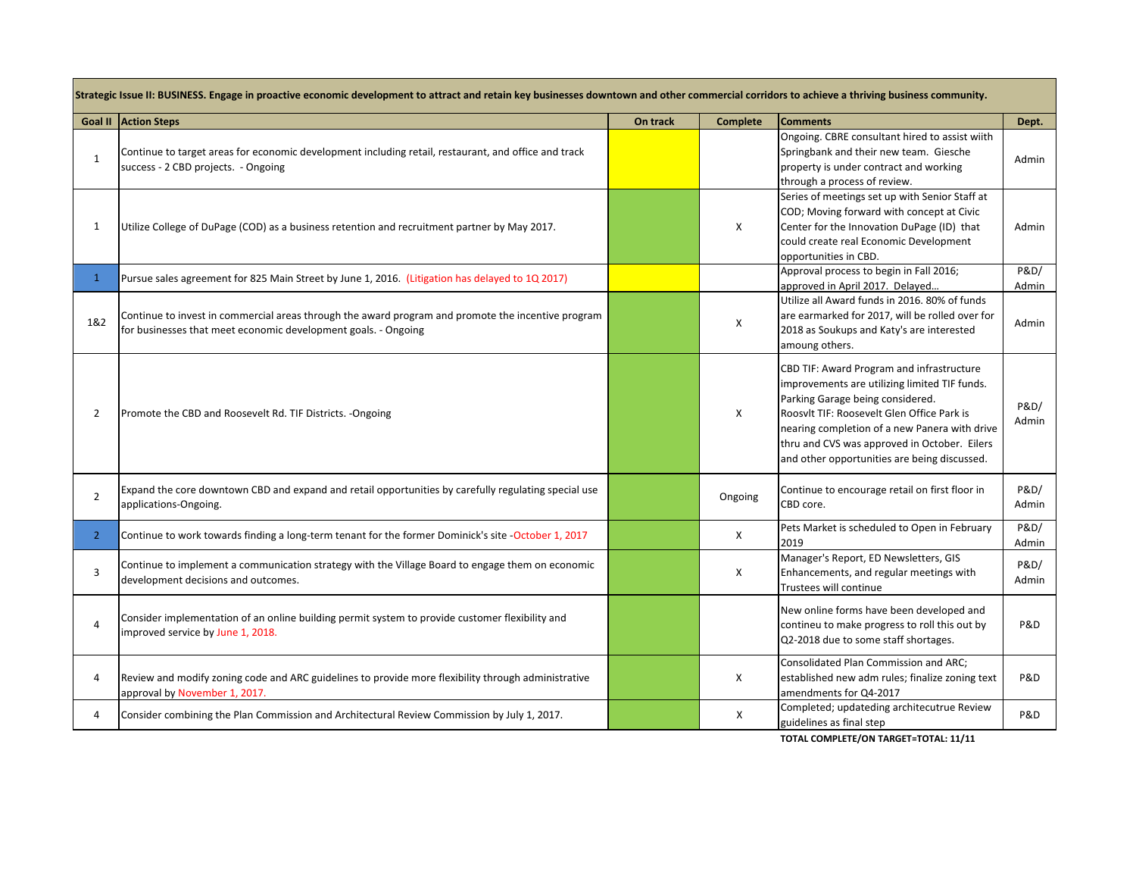|                | Strategic Issue II: BUSINESS. Engage in proactive economic development to attract and retain key businesses downtown and other commercial corridors to achieve a thriving business community. |          |                 |                                                                                                                                                                                                                                                                                                                               |               |  |  |  |
|----------------|-----------------------------------------------------------------------------------------------------------------------------------------------------------------------------------------------|----------|-----------------|-------------------------------------------------------------------------------------------------------------------------------------------------------------------------------------------------------------------------------------------------------------------------------------------------------------------------------|---------------|--|--|--|
|                | <b>Goal II   Action Steps</b>                                                                                                                                                                 | On track | <b>Complete</b> | <b>Comments</b>                                                                                                                                                                                                                                                                                                               | Dept.         |  |  |  |
| 1              | Continue to target areas for economic development including retail, restaurant, and office and track<br>success - 2 CBD projects. - Ongoing                                                   |          |                 | Ongoing. CBRE consultant hired to assist wiith<br>Springbank and their new team. Giesche<br>property is under contract and working<br>through a process of review.                                                                                                                                                            | Admin         |  |  |  |
| $\mathbf{1}$   | Utilize College of DuPage (COD) as a business retention and recruitment partner by May 2017.                                                                                                  |          | Χ               | Series of meetings set up with Senior Staff at<br>COD; Moving forward with concept at Civic<br>Center for the Innovation DuPage (ID) that<br>could create real Economic Development<br>opportunities in CBD.                                                                                                                  | Admin         |  |  |  |
| $\mathbf{1}$   | Pursue sales agreement for 825 Main Street by June 1, 2016. (Litigation has delayed to 1Q 2017)                                                                                               |          |                 | Approval process to begin in Fall 2016;<br>approved in April 2017. Delayed                                                                                                                                                                                                                                                    | P&D/<br>Admin |  |  |  |
| 1&2            | Continue to invest in commercial areas through the award program and promote the incentive program<br>for businesses that meet economic development goals. - Ongoing                          |          | X               | Utilize all Award funds in 2016, 80% of funds<br>are earmarked for 2017, will be rolled over for<br>2018 as Soukups and Katy's are interested<br>amoung others.                                                                                                                                                               | Admin         |  |  |  |
| 2              | Promote the CBD and Roosevelt Rd. TIF Districts. - Ongoing                                                                                                                                    |          | X               | CBD TIF: Award Program and infrastructure<br>improvements are utilizing limited TIF funds.<br>Parking Garage being considered.<br>Roosvlt TIF: Roosevelt Glen Office Park is<br>nearing completion of a new Panera with drive<br>thru and CVS was approved in October. Eilers<br>and other opportunities are being discussed. | P&D/<br>Admin |  |  |  |
| $\overline{2}$ | Expand the core downtown CBD and expand and retail opportunities by carefully regulating special use<br>applications-Ongoing.                                                                 |          | Ongoing         | Continue to encourage retail on first floor in<br>CBD core.                                                                                                                                                                                                                                                                   | P&D/<br>Admin |  |  |  |
| $\overline{2}$ | Continue to work towards finding a long-term tenant for the former Dominick's site -October 1, 2017                                                                                           |          | X               | Pets Market is scheduled to Open in February<br>2019                                                                                                                                                                                                                                                                          | P&D/<br>Admin |  |  |  |
| 3              | Continue to implement a communication strategy with the Village Board to engage them on economic<br>development decisions and outcomes.                                                       |          | Χ               | Manager's Report, ED Newsletters, GIS<br>Enhancements, and regular meetings with<br>Trustees will continue                                                                                                                                                                                                                    | P&D/<br>Admin |  |  |  |
| 4              | Consider implementation of an online building permit system to provide customer flexibility and<br>improved service by June 1, 2018.                                                          |          |                 | New online forms have been developed and<br>contineu to make progress to roll this out by<br>Q2-2018 due to some staff shortages.                                                                                                                                                                                             | P&D           |  |  |  |
| 4              | Review and modify zoning code and ARC guidelines to provide more flexibility through administrative<br>approval by November 1, 2017.                                                          |          | X               | Consolidated Plan Commission and ARC;<br>established new adm rules; finalize zoning text<br>amendments for Q4-2017                                                                                                                                                                                                            | P&D           |  |  |  |
| 4              | Consider combining the Plan Commission and Architectural Review Commission by July 1, 2017.                                                                                                   |          | $\mathsf{x}$    | Completed; updateding architecutrue Review<br>guidelines as final step                                                                                                                                                                                                                                                        | P&D           |  |  |  |

**TOTAL COMPLETE/ON TARGET=TOTAL: 11/11**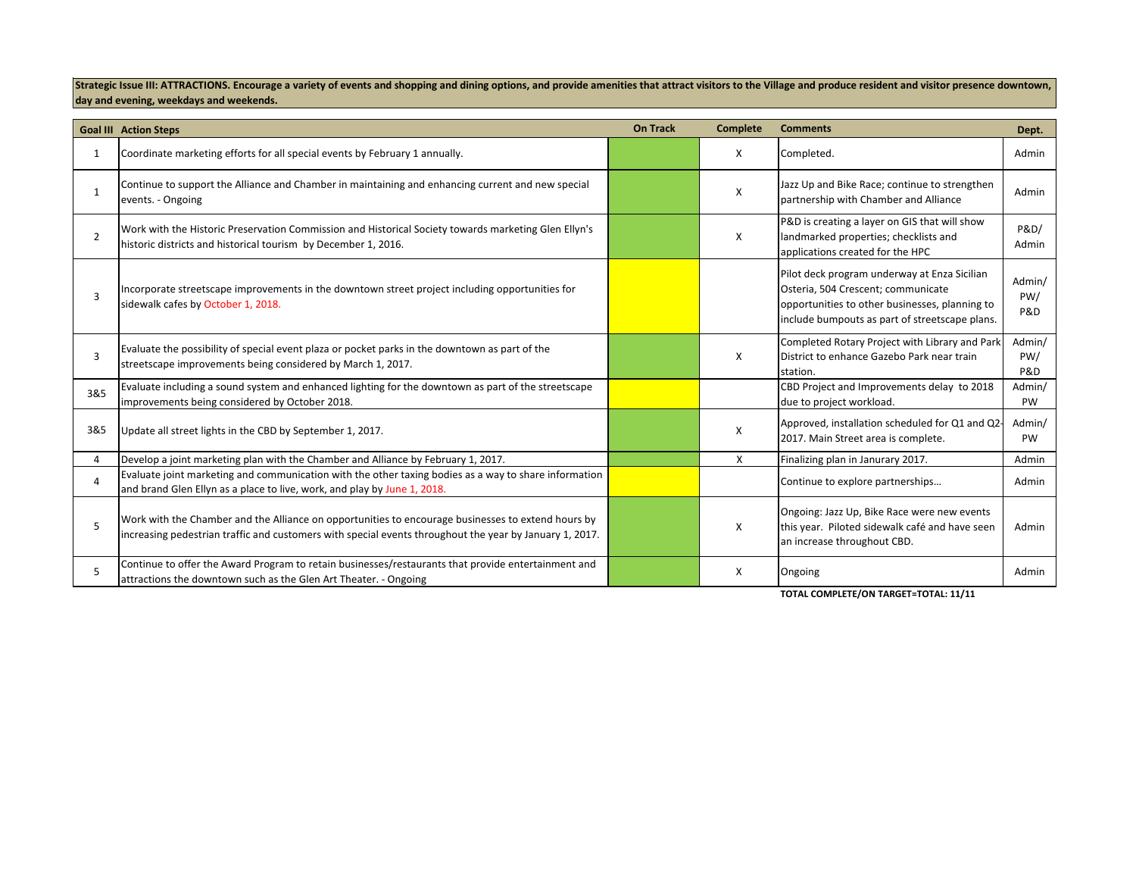Strategic Issue III: ATTRACTIONS. Encourage a variety of events and shopping and dining options, and provide amenities that attract visitors to the Village and produce resident and visitor presence downtown, **day and evening, weekdays and weekends.**

|                | <b>Goal III Action Steps</b>                                                                                                                                                                                  | <b>On Track</b> | <b>Complete</b> | <b>Comments</b>                                                                                                                                                                        | Dept.                           |
|----------------|---------------------------------------------------------------------------------------------------------------------------------------------------------------------------------------------------------------|-----------------|-----------------|----------------------------------------------------------------------------------------------------------------------------------------------------------------------------------------|---------------------------------|
| 1              | Coordinate marketing efforts for all special events by February 1 annually.                                                                                                                                   |                 | X               | Completed.                                                                                                                                                                             | Admin                           |
|                | Continue to support the Alliance and Chamber in maintaining and enhancing current and new special<br>events. - Ongoing                                                                                        |                 | x               | Jazz Up and Bike Race; continue to strengthen<br>partnership with Chamber and Alliance                                                                                                 | Admin                           |
| $\overline{2}$ | Work with the Historic Preservation Commission and Historical Society towards marketing Glen Ellyn's<br>historic districts and historical tourism by December 1, 2016.                                        |                 | X               | P&D is creating a layer on GIS that will show<br>landmarked properties; checklists and<br>applications created for the HPC                                                             | P&D/<br>Admin                   |
|                | Incorporate streetscape improvements in the downtown street project including opportunities for<br>sidewalk cafes by October 1, 2018.                                                                         |                 |                 | Pilot deck program underway at Enza Sicilian<br>Osteria, 504 Crescent; communicate<br>opportunities to other businesses, planning to<br>include bumpouts as part of streetscape plans. | Admin/<br>PW/<br>P&D            |
| 3              | Evaluate the possibility of special event plaza or pocket parks in the downtown as part of the<br>streetscape improvements being considered by March 1, 2017.                                                 |                 | X               | Completed Rotary Project with Library and Park<br>District to enhance Gazebo Park near train<br>station.                                                                               | Admin/<br>PW/<br><b>P&amp;D</b> |
| 3&5            | Evaluate including a sound system and enhanced lighting for the downtown as part of the streetscape<br>improvements being considered by October 2018.                                                         |                 |                 | CBD Project and Improvements delay to 2018<br>due to project workload.                                                                                                                 | Admin/<br>PW                    |
| 3&5            | Update all street lights in the CBD by September 1, 2017.                                                                                                                                                     |                 | X               | Approved, installation scheduled for Q1 and Q2-<br>2017. Main Street area is complete.                                                                                                 | Admin/<br><b>PW</b>             |
| 4              | Develop a joint marketing plan with the Chamber and Alliance by February 1, 2017.                                                                                                                             |                 | X               | Finalizing plan in Janurary 2017.                                                                                                                                                      | Admin                           |
|                | Evaluate joint marketing and communication with the other taxing bodies as a way to share information<br>and brand Glen Ellyn as a place to live, work, and play by June 1, 2018.                             |                 |                 | Continue to explore partnerships                                                                                                                                                       | Admin                           |
|                | Work with the Chamber and the Alliance on opportunities to encourage businesses to extend hours by<br>increasing pedestrian traffic and customers with special events throughout the year by January 1, 2017. |                 | X               | Ongoing: Jazz Up, Bike Race were new events<br>this year. Piloted sidewalk café and have seen<br>an increase throughout CBD.                                                           | Admin                           |
|                | Continue to offer the Award Program to retain businesses/restaurants that provide entertainment and<br>attractions the downtown such as the Glen Art Theater. - Ongoing                                       |                 | X               | Ongoing                                                                                                                                                                                | Admin                           |

**TOTAL COMPLETE/ON TARGET=TOTAL: 11/11**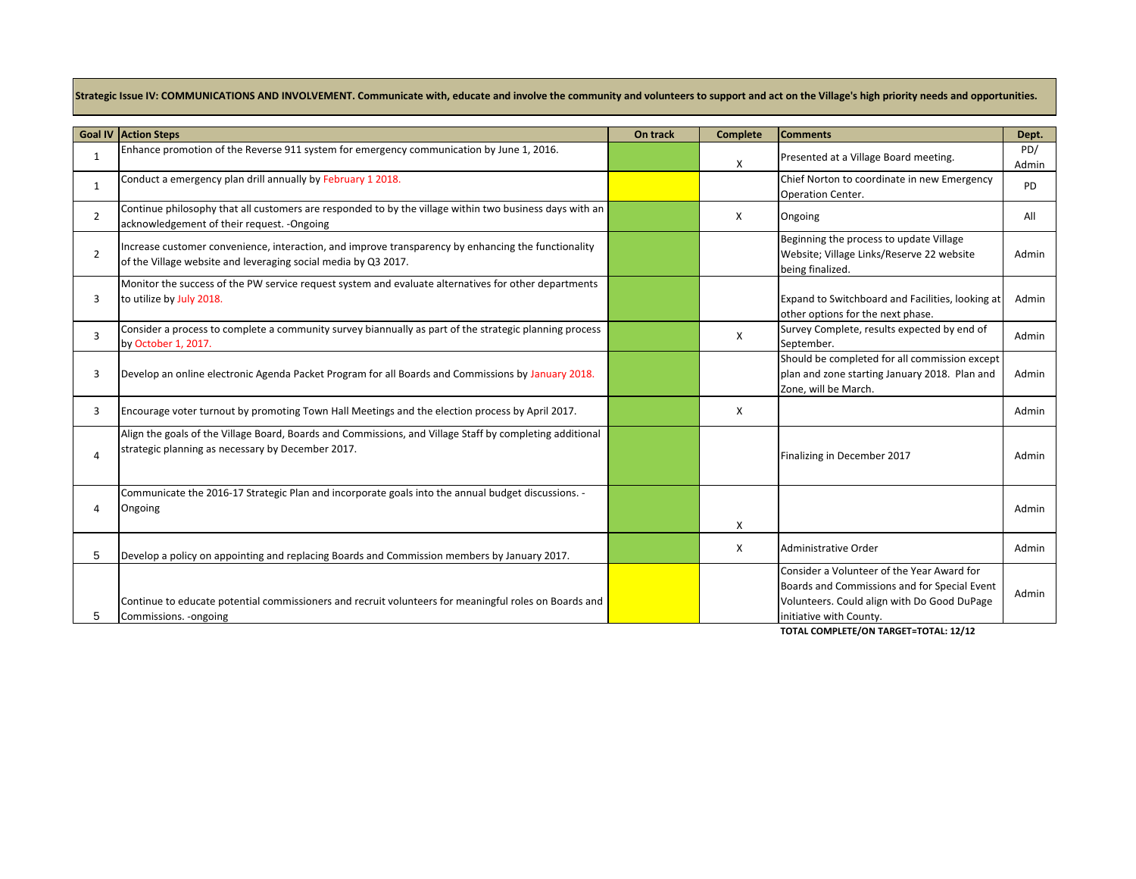Strategic Issue IV: COMMUNICATIONS AND INVOLVEMENT. Communicate with, educate and involve the community and volunteers to support and act on the Village's high priority needs and opportunities.

|                | <b>Goal IV Action Steps</b>                                                                                                                                           | On track | <b>Complete</b> | <b>Comments</b>                                                                                                                                                      | Dept.        |
|----------------|-----------------------------------------------------------------------------------------------------------------------------------------------------------------------|----------|-----------------|----------------------------------------------------------------------------------------------------------------------------------------------------------------------|--------------|
| $\mathbf{1}$   | Enhance promotion of the Reverse 911 system for emergency communication by June 1, 2016.                                                                              |          | х               | Presented at a Village Board meeting.                                                                                                                                | PD/<br>Admin |
| $\mathbf{1}$   | Conduct a emergency plan drill annually by February 1 2018.                                                                                                           |          |                 | Chief Norton to coordinate in new Emergency<br>Operation Center.                                                                                                     | <b>PD</b>    |
| $\overline{2}$ | Continue philosophy that all customers are responded to by the village within two business days with an<br>acknowledgement of their request. - Ongoing                |          | X               | Ongoing                                                                                                                                                              | All          |
| $\overline{2}$ | Increase customer convenience, interaction, and improve transparency by enhancing the functionality<br>of the Village website and leveraging social media by Q3 2017. |          |                 | Beginning the process to update Village<br>Website; Village Links/Reserve 22 website<br>being finalized.                                                             | Admin        |
| 3              | Monitor the success of the PW service request system and evaluate alternatives for other departments<br>to utilize by July 2018.                                      |          |                 | Expand to Switchboard and Facilities, looking at<br>other options for the next phase.                                                                                | Admin        |
| 3              | Consider a process to complete a community survey biannually as part of the strategic planning process<br>by October 1, 2017.                                         |          | X               | Survey Complete, results expected by end of<br>September.                                                                                                            | Admin        |
| 3              | Develop an online electronic Agenda Packet Program for all Boards and Commissions by January 2018.                                                                    |          |                 | Should be completed for all commission except<br>plan and zone starting January 2018. Plan and<br>Zone, will be March.                                               | Admin        |
| 3              | Encourage voter turnout by promoting Town Hall Meetings and the election process by April 2017.                                                                       |          | X               |                                                                                                                                                                      | Admin        |
| $\overline{4}$ | Align the goals of the Village Board, Boards and Commissions, and Village Staff by completing additional<br>strategic planning as necessary by December 2017.         |          |                 | Finalizing in December 2017                                                                                                                                          | Admin        |
| Δ              | Communicate the 2016-17 Strategic Plan and incorporate goals into the annual budget discussions. -<br>Ongoing                                                         |          | X               |                                                                                                                                                                      | Admin        |
| 5              | Develop a policy on appointing and replacing Boards and Commission members by January 2017.                                                                           |          | X               | Administrative Order                                                                                                                                                 | Admin        |
| 5              | Continue to educate potential commissioners and recruit volunteers for meaningful roles on Boards and<br>Commissions. - ongoing                                       |          |                 | Consider a Volunteer of the Year Award for<br>Boards and Commissions and for Special Event<br>Volunteers. Could align with Do Good DuPage<br>initiative with County. | Admin        |

**TOTAL COMPLETE/ON TARGET=TOTAL: 12/12**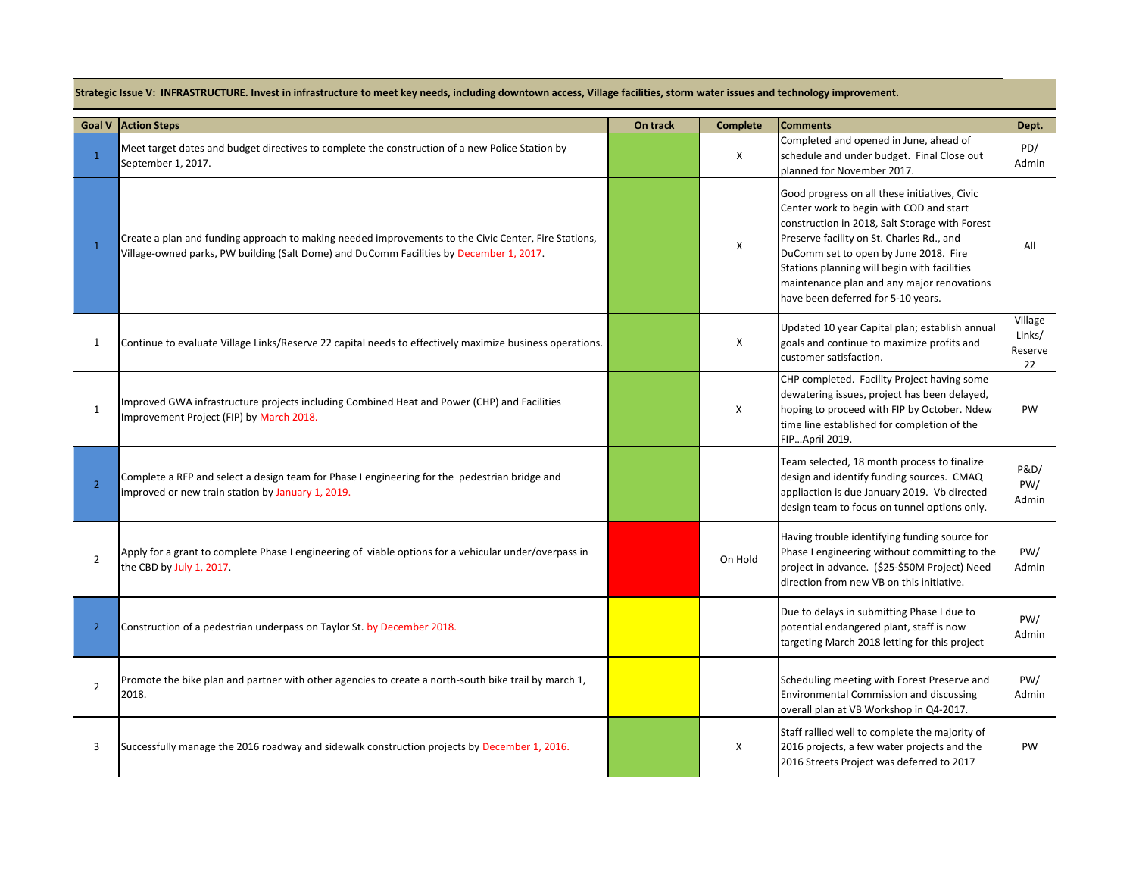**Strategic Issue V: INFRASTRUCTURE. Invest in infrastructure to meet key needs, including downtown access, Village facilities, storm water issues and technology improvement.**

| <b>Goal V</b>  | <b>Action Steps</b>                                                                                                                                                                             | On track | <b>Complete</b> | <b>Comments</b>                                                                                                                                                                                                                                                                                                                                                      | Dept.                              |
|----------------|-------------------------------------------------------------------------------------------------------------------------------------------------------------------------------------------------|----------|-----------------|----------------------------------------------------------------------------------------------------------------------------------------------------------------------------------------------------------------------------------------------------------------------------------------------------------------------------------------------------------------------|------------------------------------|
| $\mathbf{1}$   | Meet target dates and budget directives to complete the construction of a new Police Station by<br>September 1, 2017.                                                                           |          | Χ               | Completed and opened in June, ahead of<br>schedule and under budget. Final Close out<br>planned for November 2017.                                                                                                                                                                                                                                                   | PD/<br>Admin                       |
| $\mathbf{1}$   | Create a plan and funding approach to making needed improvements to the Civic Center, Fire Stations,<br>Village-owned parks, PW building (Salt Dome) and DuComm Facilities by December 1, 2017. |          | Χ               | Good progress on all these initiatives, Civic<br>Center work to begin with COD and start<br>construction in 2018, Salt Storage with Forest<br>Preserve facility on St. Charles Rd., and<br>DuComm set to open by June 2018. Fire<br>Stations planning will begin with facilities<br>maintenance plan and any major renovations<br>have been deferred for 5-10 years. | All                                |
| 1              | Continue to evaluate Village Links/Reserve 22 capital needs to effectively maximize business operations.                                                                                        |          | X               | Updated 10 year Capital plan; establish annual<br>goals and continue to maximize profits and<br>customer satisfaction.                                                                                                                                                                                                                                               | Village<br>Links/<br>Reserve<br>22 |
| $\mathbf{1}$   | Improved GWA infrastructure projects including Combined Heat and Power (CHP) and Facilities<br>Improvement Project (FIP) by March 2018.                                                         |          | X               | CHP completed. Facility Project having some<br>dewatering issues, project has been delayed,<br>hoping to proceed with FIP by October. Ndew<br>time line established for completion of the<br>FIPApril 2019.                                                                                                                                                          | PW                                 |
| $\overline{2}$ | Complete a RFP and select a design team for Phase I engineering for the pedestrian bridge and<br>improved or new train station by January 1, 2019.                                              |          |                 | Team selected, 18 month process to finalize<br>design and identify funding sources. CMAQ<br>appliaction is due January 2019. Vb directed<br>design team to focus on tunnel options only.                                                                                                                                                                             | P&D/<br>PW/<br>Admin               |
| $\overline{2}$ | Apply for a grant to complete Phase I engineering of viable options for a vehicular under/overpass in<br>the CBD by July 1, 2017.                                                               |          | On Hold         | Having trouble identifying funding source for<br>Phase I engineering without committing to the<br>project in advance. (\$25-\$50M Project) Need<br>direction from new VB on this initiative.                                                                                                                                                                         | PW/<br>Admin                       |
| $\overline{2}$ | Construction of a pedestrian underpass on Taylor St. by December 2018.                                                                                                                          |          |                 | Due to delays in submitting Phase I due to<br>potential endangered plant, staff is now<br>targeting March 2018 letting for this project                                                                                                                                                                                                                              | PW/<br>Admin                       |
| $\overline{2}$ | Promote the bike plan and partner with other agencies to create a north-south bike trail by march 1,<br>2018.                                                                                   |          |                 | Scheduling meeting with Forest Preserve and<br><b>Environmental Commission and discussing</b><br>overall plan at VB Workshop in Q4-2017.                                                                                                                                                                                                                             | PW/<br>Admin                       |
| 3              | Successfully manage the 2016 roadway and sidewalk construction projects by December 1, 2016.                                                                                                    |          | X               | Staff rallied well to complete the majority of<br>2016 projects, a few water projects and the<br>2016 Streets Project was deferred to 2017                                                                                                                                                                                                                           | PW                                 |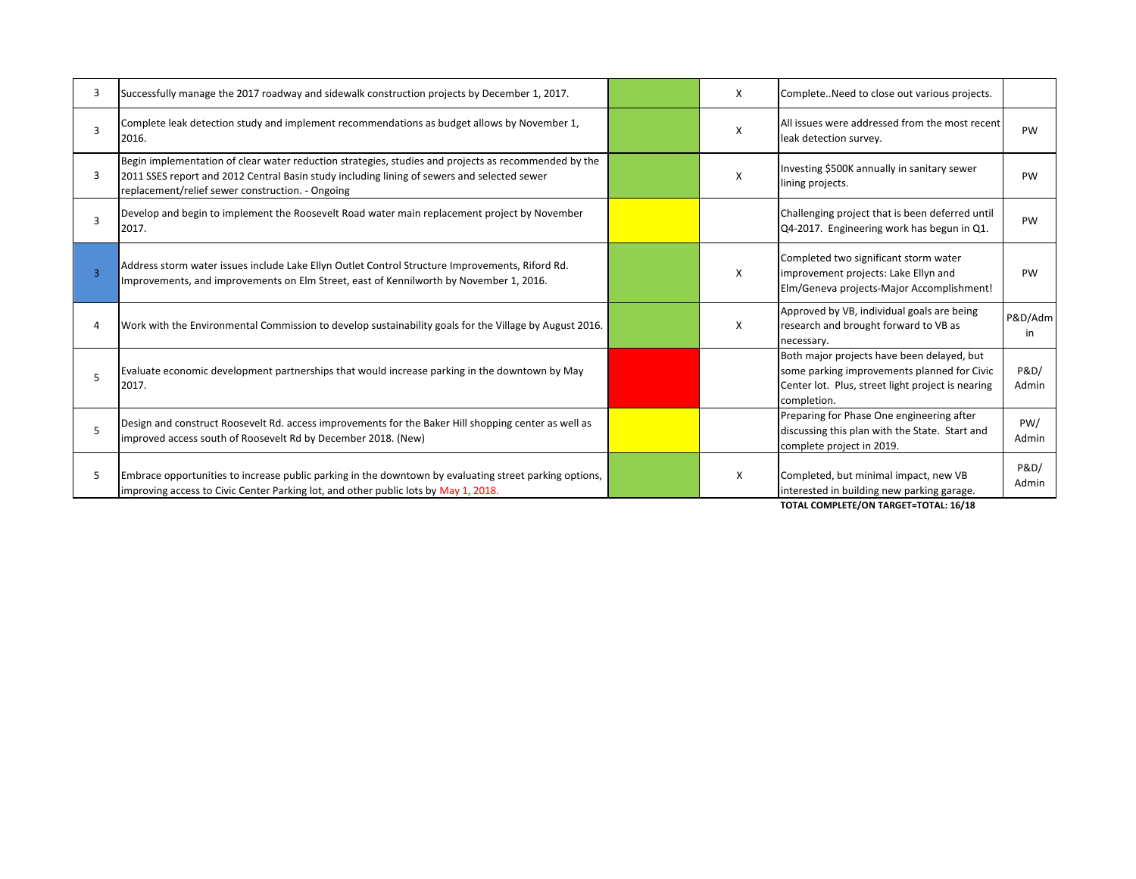| З | Successfully manage the 2017 roadway and sidewalk construction projects by December 1, 2017.                                                                                                                                                            | X | CompleteNeed to close out various projects.                                                                                                                                                                                                                                                                             |                          |
|---|---------------------------------------------------------------------------------------------------------------------------------------------------------------------------------------------------------------------------------------------------------|---|-------------------------------------------------------------------------------------------------------------------------------------------------------------------------------------------------------------------------------------------------------------------------------------------------------------------------|--------------------------|
|   | Complete leak detection study and implement recommendations as budget allows by November 1,<br>2016.                                                                                                                                                    | X | All issues were addressed from the most recent<br>leak detection survey.                                                                                                                                                                                                                                                | PW                       |
| 3 | Begin implementation of clear water reduction strategies, studies and projects as recommended by the<br>2011 SSES report and 2012 Central Basin study including lining of sewers and selected sewer<br>replacement/relief sewer construction. - Ongoing | X | Investing \$500K annually in sanitary sewer<br>lining projects.                                                                                                                                                                                                                                                         | <b>PW</b>                |
| З | Develop and begin to implement the Roosevelt Road water main replacement project by November<br>2017.                                                                                                                                                   |   | Challenging project that is been deferred until<br>Q4-2017. Engineering work has begun in Q1.                                                                                                                                                                                                                           | PW                       |
|   | Address storm water issues include Lake Ellyn Outlet Control Structure Improvements, Riford Rd.<br>Improvements, and improvements on Elm Street, east of Kennilworth by November 1, 2016.                                                               | X | Completed two significant storm water<br>improvement projects: Lake Ellyn and<br>Elm/Geneva projects-Major Accomplishment!                                                                                                                                                                                              | PW                       |
|   | Work with the Environmental Commission to develop sustainability goals for the Village by August 2016.                                                                                                                                                  | X | Approved by VB, individual goals are being<br>research and brought forward to VB as<br>necessary.                                                                                                                                                                                                                       | P&D/Adm<br>in            |
|   | Evaluate economic development partnerships that would increase parking in the downtown by May<br>2017.                                                                                                                                                  |   | Both major projects have been delayed, but<br>some parking improvements planned for Civic<br>Center lot. Plus, street light project is nearing<br>completion.                                                                                                                                                           | <b>P&amp;D/</b><br>Admin |
|   | Design and construct Roosevelt Rd. access improvements for the Baker Hill shopping center as well as<br>improved access south of Roosevelt Rd by December 2018. (New)                                                                                   |   | Preparing for Phase One engineering after<br>discussing this plan with the State. Start and<br>complete project in 2019.                                                                                                                                                                                                | PW/<br>Admin             |
| 5 | Embrace opportunities to increase public parking in the downtown by evaluating street parking options,<br>improving access to Civic Center Parking lot, and other public lots by May 1, 2018.                                                           | X | Completed, but minimal impact, new VB<br>interested in building new parking garage.<br>$\tau$ 0 - 11,001 - 101,001 - 100 - 100 - 100 - 100 - 100 - 100 - 100 - 100 - 100 - 100 - 100 - 100 - 100 - 100 - 100 - 100 - 100 - 100 - 100 - 100 - 100 - 100 - 100 - 100 - 100 - 100 - 100 - 100 - 100 - 100 - 100 - 100 - 10 | <b>P&amp;D/</b><br>Admin |

**TOTAL COMPLETE/ON TARGET=TOTAL: 16/18**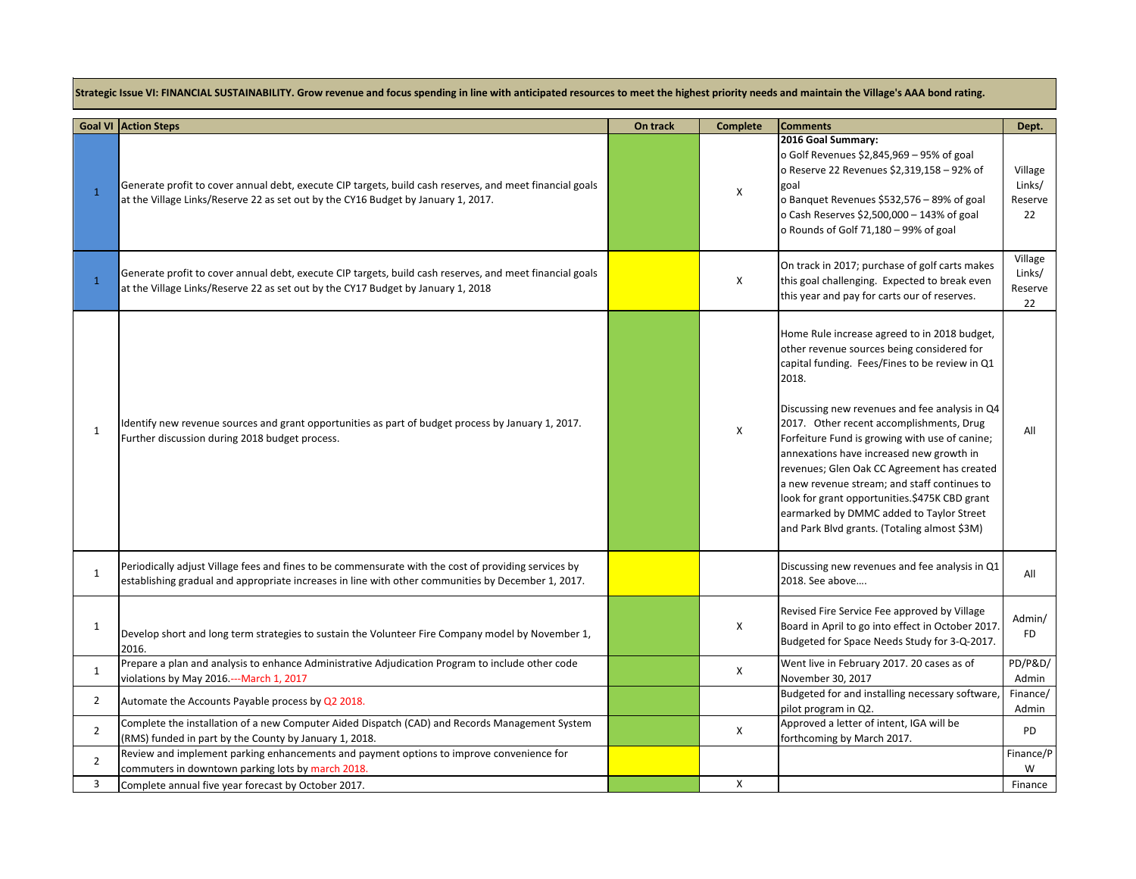**Strategic Issue VI: FINANCIAL SUSTAINABILITY. Grow revenue and focus spending in line with anticipated resources to meet the highest priority needs and maintain the Village's AAA bond rating.**

|                | <b>Goal VI Action Steps</b>                                                                                                                                                                                | On track | <b>Complete</b> | <b>Comments</b>                                                                                                                                                                                                                                                                                                                                                                                                                                                                                                                                                                               | Dept.                              |
|----------------|------------------------------------------------------------------------------------------------------------------------------------------------------------------------------------------------------------|----------|-----------------|-----------------------------------------------------------------------------------------------------------------------------------------------------------------------------------------------------------------------------------------------------------------------------------------------------------------------------------------------------------------------------------------------------------------------------------------------------------------------------------------------------------------------------------------------------------------------------------------------|------------------------------------|
| $\mathbf{1}$   | Generate profit to cover annual debt, execute CIP targets, build cash reserves, and meet financial goals<br>at the Village Links/Reserve 22 as set out by the CY16 Budget by January 1, 2017.              |          | Χ               | 2016 Goal Summary:<br>o Golf Revenues \$2,845,969 - 95% of goal<br>o Reserve 22 Revenues \$2,319,158 - 92% of<br>goal<br>o Banquet Revenues \$532,576 - 89% of goal<br>o Cash Reserves \$2,500,000 - 143% of goal<br>o Rounds of Golf 71,180 - 99% of goal                                                                                                                                                                                                                                                                                                                                    | Village<br>Links/<br>Reserve<br>22 |
| $\mathbf{1}$   | Generate profit to cover annual debt, execute CIP targets, build cash reserves, and meet financial goals<br>at the Village Links/Reserve 22 as set out by the CY17 Budget by January 1, 2018               |          | X               | On track in 2017; purchase of golf carts makes<br>this goal challenging. Expected to break even<br>this year and pay for carts our of reserves.                                                                                                                                                                                                                                                                                                                                                                                                                                               | Village<br>Links/<br>Reserve<br>22 |
| 1              | Identify new revenue sources and grant opportunities as part of budget process by January 1, 2017.<br>Further discussion during 2018 budget process.                                                       |          | X               | Home Rule increase agreed to in 2018 budget,<br>other revenue sources being considered for<br>capital funding. Fees/Fines to be review in Q1<br>2018.<br>Discussing new revenues and fee analysis in Q4<br>2017. Other recent accomplishments, Drug<br>Forfeiture Fund is growing with use of canine;<br>annexations have increased new growth in<br>revenues; Glen Oak CC Agreement has created<br>a new revenue stream; and staff continues to<br>look for grant opportunities.\$475K CBD grant<br>earmarked by DMMC added to Taylor Street<br>and Park Blvd grants. (Totaling almost \$3M) | All                                |
| $\mathbf{1}$   | Periodically adjust Village fees and fines to be commensurate with the cost of providing services by<br>establishing gradual and appropriate increases in line with other communities by December 1, 2017. |          |                 | Discussing new revenues and fee analysis in Q1<br>2018. See above                                                                                                                                                                                                                                                                                                                                                                                                                                                                                                                             | All                                |
| 1              | Develop short and long term strategies to sustain the Volunteer Fire Company model by November 1,<br>2016.                                                                                                 |          | X               | Revised Fire Service Fee approved by Village<br>Board in April to go into effect in October 2017.<br>Budgeted for Space Needs Study for 3-Q-2017.                                                                                                                                                                                                                                                                                                                                                                                                                                             | Admin/<br><b>FD</b>                |
| $\mathbf{1}$   | Prepare a plan and analysis to enhance Administrative Adjudication Program to include other code<br>violations by May 2016.---March 1, 2017                                                                |          | X               | Went live in February 2017. 20 cases as of<br>November 30, 2017                                                                                                                                                                                                                                                                                                                                                                                                                                                                                                                               | <b>PD/P&amp;D/</b><br>Admin        |
| $\overline{2}$ | Automate the Accounts Payable process by Q2 2018.                                                                                                                                                          |          |                 | Budgeted for and installing necessary software,<br>pilot program in Q2.                                                                                                                                                                                                                                                                                                                                                                                                                                                                                                                       | Finance/<br>Admin                  |
| $\overline{2}$ | Complete the installation of a new Computer Aided Dispatch (CAD) and Records Management System<br>(RMS) funded in part by the County by January 1, 2018.                                                   |          | X               | Approved a letter of intent, IGA will be<br>forthcoming by March 2017.                                                                                                                                                                                                                                                                                                                                                                                                                                                                                                                        | <b>PD</b>                          |
| $\overline{2}$ | Review and implement parking enhancements and payment options to improve convenience for<br>commuters in downtown parking lots by march 2018.                                                              |          |                 |                                                                                                                                                                                                                                                                                                                                                                                                                                                                                                                                                                                               | Finance/P<br>W                     |
| 3              | Complete annual five year forecast by October 2017.                                                                                                                                                        |          | X               |                                                                                                                                                                                                                                                                                                                                                                                                                                                                                                                                                                                               | Finance                            |